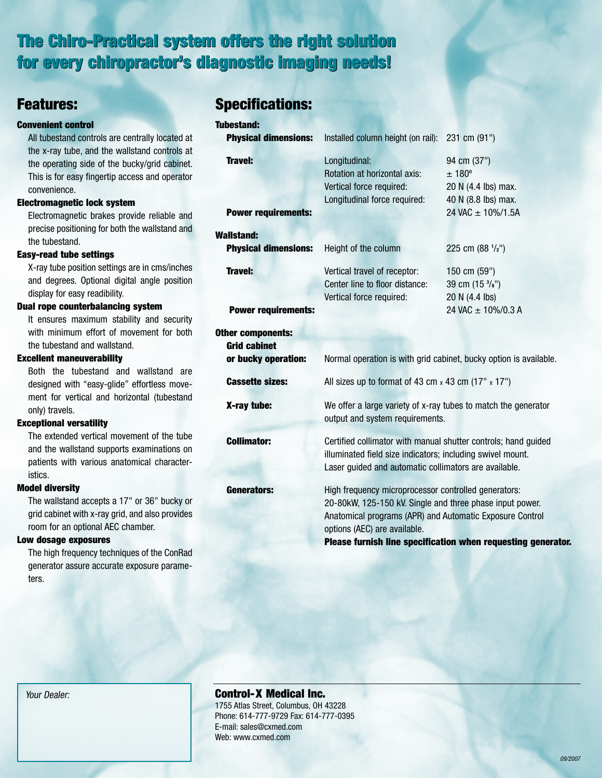## The Chiro-Practical system offers the right solution The Chiro-Practical system offers the right solution<br>for every chiropr<mark>actor's diagnostic imaging needs!</mark>

### Features:

#### Convenient control

All tubestand controls are centrally located at the x-ray tube, and the wallstand controls at the operating side of the bucky/grid cabinet. This is for easy fingertip access and operator convenience.

#### Electromagnetic lock system

Electromagnetic brakes provide reliable and precise positioning for both the wallstand and the tubestand.

#### Easy-read tube settings

X-ray tube position settings are in cms/inches and degrees. Optional digital angle position display for easy readibility.

#### Dual rope counterbalancing system

It ensures maximum stability and security with minimum effort of movement for both the tubestand and wallstand.

#### Excellent maneuverability

Both the tubestand and wallstand are designed with "easy-glide" effortless movement for vertical and horizontal (tubestand only) travels.

#### Exceptional versatility

The extended vertical movement of the tube and the wallstand supports examinations on patients with various anatomical characteristics.

#### Model diversity

The wallstand accepts a 17" or 36" bucky or grid cabinet with x-ray grid, and also provides room for an optional AEC chamber.

#### Low dosage exposures

The high frequency techniques of the ConRad generator assure accurate exposure parameters.

## Specifications:

| <b>Tubestand:</b>           |                                                                                                                                                                                                              |                                          |
|-----------------------------|--------------------------------------------------------------------------------------------------------------------------------------------------------------------------------------------------------------|------------------------------------------|
| <b>Physical dimensions:</b> | Installed column height (on rail):                                                                                                                                                                           | 231 cm (91")                             |
| <b>Travel:</b>              | Longitudinal:                                                                                                                                                                                                | 94 cm (37")                              |
|                             | Rotation at horizontal axis:                                                                                                                                                                                 | ± 180°                                   |
|                             | Vertical force required:                                                                                                                                                                                     | 20 N (4.4 lbs) max.                      |
|                             | Longitudinal force required:                                                                                                                                                                                 | 40 N (8.8 lbs) max.                      |
| <b>Power requirements:</b>  |                                                                                                                                                                                                              | 24 VAC ± 10%/1.5A                        |
| Wallstand:                  |                                                                                                                                                                                                              |                                          |
| <b>Physical dimensions:</b> | Height of the column                                                                                                                                                                                         | 225 cm (88 1/2")                         |
| <b>Travel:</b>              | Vertical travel of receptor:                                                                                                                                                                                 | 150 cm (59")                             |
|                             | Center line to floor distance:                                                                                                                                                                               | 39 cm (15 <sup>3</sup> / <sub>8</sub> ") |
|                             | Vertical force required:                                                                                                                                                                                     | 20 N (4.4 lbs)                           |
| <b>Power requirements:</b>  |                                                                                                                                                                                                              | 24 VAC ± 10%/0.3 A                       |
| Other components:           |                                                                                                                                                                                                              |                                          |
| <b>Grid cabinet</b>         |                                                                                                                                                                                                              |                                          |
| or bucky operation:         | Normal operation is with grid cabinet, bucky option is available.                                                                                                                                            |                                          |
| <b>Cassette sizes:</b>      | All sizes up to format of 43 cm $\times$ 43 cm (17" $\times$ 17")                                                                                                                                            |                                          |
| X-ray tube:                 | We offer a large variety of x-ray tubes to match the generator<br>output and system requirements.                                                                                                            |                                          |
| <b>Collimator:</b>          | Certified collimator with manual shutter controls; hand guided<br>illuminated field size indicators; including swivel mount.<br>Laser guided and automatic collimators are available.                        |                                          |
| <b>Generators:</b>          | High frequency microprocessor controlled generators:<br>20-80kW, 125-150 kV. Single and three phase input power.<br>Anatomical programs (APR) and Automatic Exposure Control<br>options (AEC) are available. |                                          |

Please furnish line specification when requesting generator.

#### Control-X Medical Inc.

1755 Atlas Street, Columbus, OH 43228 Phone: 614-777-9729 Fax: 614-777-0395 E-mail: sales@cxmed.com Web: www.cxmed.com